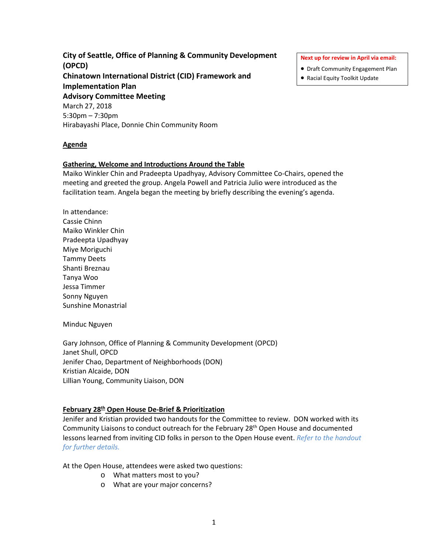**City of Seattle, Office of Planning & Community Development (OPCD) Chinatown International District (CID) Framework and Implementation Plan Advisory Committee Meeting** March 27, 2018 5:30pm – 7:30pm Hirabayashi Place, Donnie Chin Community Room

#### **Agenda**

#### **Gathering, Welcome and Introductions Around the Table**

Maiko Winkler Chin and Pradeepta Upadhyay, Advisory Committee Co-Chairs, opened the meeting and greeted the group. Angela Powell and Patricia Julio were introduced as the facilitation team. Angela began the meeting by briefly describing the evening's agenda.

In attendance: Cassie Chinn Maiko Winkler Chin Pradeepta Upadhyay Miye Moriguchi Tammy Deets Shanti Breznau Tanya Woo Jessa Timmer Sonny Nguyen Sunshine Monastrial

#### Minduc Nguyen

Gary Johnson, Office of Planning & Community Development (OPCD) Janet Shull, OPCD Jenifer Chao, Department of Neighborhoods (DON) Kristian Alcaide, DON Lillian Young, Community Liaison, DON

#### **February 28th Open House De-Brief & Prioritization**

Jenifer and Kristian provided two handouts for the Committee to review. DON worked with its Community Liaisons to conduct outreach for the February 28th Open House and documented lessons learned from inviting CID folks in person to the Open House event. *Refer to the handout for further details.*

At the Open House, attendees were asked two questions:

- o What matters most to you?
- o What are your major concerns?

**Next up for review in April via email:**

- Draft Community Engagement Plan
- Racial Equity Toolkit Update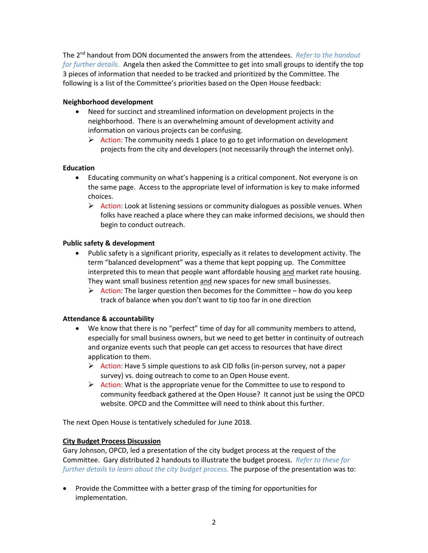The 2nd handout from DON documented the answers from the attendees. *Refer to the handout for further details.* Angela then asked the Committee to get into small groups to identify the top 3 pieces of information that needed to be tracked and prioritized by the Committee. The following is a list of the Committee's priorities based on the Open House feedback:

# **Neighborhood development**

- Need for succinct and streamlined information on development projects in the neighborhood. There is an overwhelming amount of development activity and information on various projects can be confusing.
	- $\triangleright$  Action: The community needs 1 place to go to get information on development projects from the city and developers (not necessarily through the internet only).

# **Education**

- Educating community on what's happening is a critical component. Not everyone is on the same page. Access to the appropriate level of information is key to make informed choices.
	- $\triangleright$  Action: Look at listening sessions or community dialogues as possible venues. When folks have reached a place where they can make informed decisions, we should then begin to conduct outreach.

## **Public safety & development**

- Public safety is a significant priority, especially as it relates to development activity. The term "balanced development" was a theme that kept popping up. The Committee interpreted this to mean that people want affordable housing and market rate housing. They want small business retention and new spaces for new small businesses.
	- $\triangleright$  Action: The larger question then becomes for the Committee how do you keep track of balance when you don't want to tip too far in one direction

# **Attendance & accountability**

- We know that there is no "perfect" time of day for all community members to attend, especially for small business owners, but we need to get better in continuity of outreach and organize events such that people can get access to resources that have direct application to them.
	- $\triangleright$  Action: Have 5 simple questions to ask CID folks (in-person survey, not a paper survey) vs. doing outreach to come to an Open House event.
	- $\triangleright$  Action: What is the appropriate venue for the Committee to use to respond to community feedback gathered at the Open House? It cannot just be using the OPCD website. OPCD and the Committee will need to think about this further.

The next Open House is tentatively scheduled for June 2018.

### **City Budget Process Discussion**

Gary Johnson, OPCD, led a presentation of the city budget process at the request of the Committee. Gary distributed 2 handouts to illustrate the budget process. *Refer to these for further details to learn about the city budget process.* The purpose of the presentation was to:

• Provide the Committee with a better grasp of the timing for opportunities for implementation.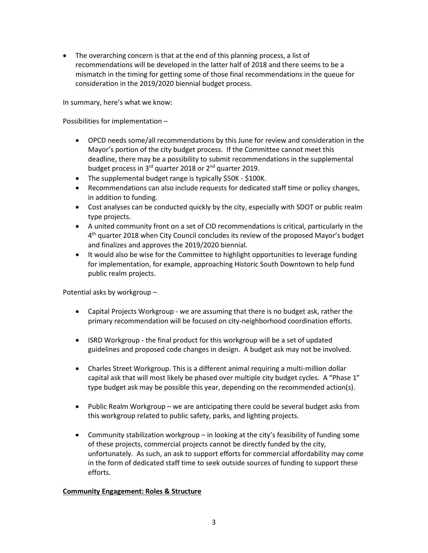• The overarching concern is that at the end of this planning process, a list of recommendations will be developed in the latter half of 2018 and there seems to be a mismatch in the timing for getting some of those final recommendations in the queue for consideration in the 2019/2020 biennial budget process.

In summary, here's what we know:

Possibilities for implementation –

- OPCD needs some/all recommendations by this June for review and consideration in the Mayor's portion of the city budget process. If the Committee cannot meet this deadline, there may be a possibility to submit recommendations in the supplemental budget process in 3<sup>rd</sup> quarter 2018 or 2<sup>nd</sup> quarter 2019.
- The supplemental budget range is typically \$50K \$100K.
- Recommendations can also include requests for dedicated staff time or policy changes, in addition to funding.
- Cost analyses can be conducted quickly by the city, especially with SDOT or public realm type projects.
- A united community front on a set of CID recommendations is critical, particularly in the 4th quarter 2018 when City Council concludes its review of the proposed Mayor's budget and finalizes and approves the 2019/2020 biennial.
- It would also be wise for the Committee to highlight opportunities to leverage funding for implementation, for example, approaching Historic South Downtown to help fund public realm projects.

Potential asks by workgroup –

- Capital Projects Workgroup we are assuming that there is no budget ask, rather the primary recommendation will be focused on city-neighborhood coordination efforts.
- ISRD Workgroup the final product for this workgroup will be a set of updated guidelines and proposed code changes in design. A budget ask may not be involved.
- Charles Street Workgroup. This is a different animal requiring a multi-million dollar capital ask that will most likely be phased over multiple city budget cycles. A "Phase 1" type budget ask may be possible this year, depending on the recommended action(s).
- Public Realm Workgroup we are anticipating there could be several budget asks from this workgroup related to public safety, parks, and lighting projects.
- Community stabilization workgroup in looking at the city's feasibility of funding some of these projects, commercial projects cannot be directly funded by the city, unfortunately. As such, an ask to support efforts for commercial affordability may come in the form of dedicated staff time to seek outside sources of funding to support these efforts.

### **Community Engagement: Roles & Structure**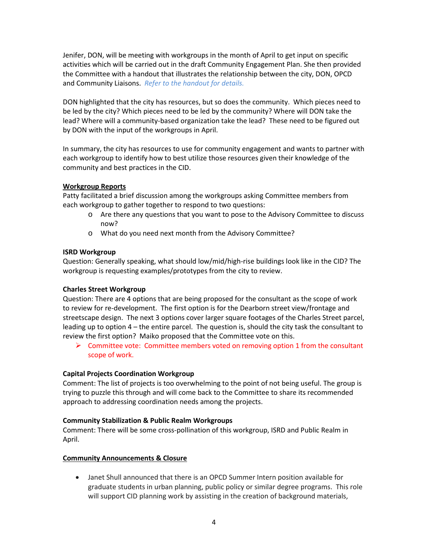Jenifer, DON, will be meeting with workgroups in the month of April to get input on specific activities which will be carried out in the draft Community Engagement Plan. She then provided the Committee with a handout that illustrates the relationship between the city, DON, OPCD and Community Liaisons. *Refer to the handout for details.* 

DON highlighted that the city has resources, but so does the community. Which pieces need to be led by the city? Which pieces need to be led by the community? Where will DON take the lead? Where will a community-based organization take the lead? These need to be figured out by DON with the input of the workgroups in April.

In summary, the city has resources to use for community engagement and wants to partner with each workgroup to identify how to best utilize those resources given their knowledge of the community and best practices in the CID.

## **Workgroup Reports**

Patty facilitated a brief discussion among the workgroups asking Committee members from each workgroup to gather together to respond to two questions:

- o Are there any questions that you want to pose to the Advisory Committee to discuss now?
- o What do you need next month from the Advisory Committee?

## **ISRD Workgroup**

Question: Generally speaking, what should low/mid/high-rise buildings look like in the CID? The workgroup is requesting examples/prototypes from the city to review.

### **Charles Street Workgroup**

Question: There are 4 options that are being proposed for the consultant as the scope of work to review for re-development. The first option is for the Dearborn street view/frontage and streetscape design. The next 3 options cover larger square footages of the Charles Street parcel, leading up to option 4 – the entire parcel. The question is, should the city task the consultant to review the first option? Maiko proposed that the Committee vote on this.

 $\triangleright$  Committee vote: Committee members voted on removing option 1 from the consultant scope of work.

# **Capital Projects Coordination Workgroup**

Comment: The list of projects is too overwhelming to the point of not being useful. The group is trying to puzzle this through and will come back to the Committee to share its recommended approach to addressing coordination needs among the projects.

### **Community Stabilization & Public Realm Workgroups**

Comment: There will be some cross-pollination of this workgroup, ISRD and Public Realm in April.

### **Community Announcements & Closure**

• Janet Shull announced that there is an OPCD Summer Intern position available for graduate students in urban planning, public policy or similar degree programs. This role will support CID planning work by assisting in the creation of background materials,